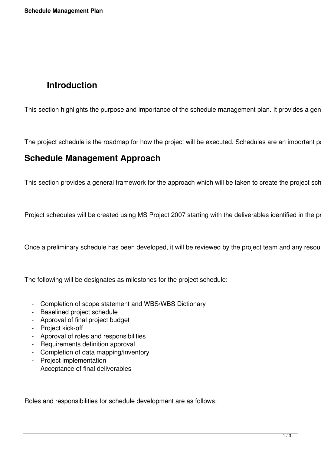# **Introduction**

This section highlights the purpose and importance of the schedule management plan. It provides a gen

The project schedule is the roadmap for how the project will be executed. Schedules are an important p

## **Schedule Management Approach**

This section provides a general framework for the approach which will be taken to create the project sch

Project schedules will be created using MS Project 2007 starting with the deliverables identified in the position

Once a preliminary schedule has been developed, it will be reviewed by the project team and any resou

The following will be designates as milestones for the project schedule:

- Completion of scope statement and WBS/WBS Dictionary
- Baselined project schedule
- Approval of final project budget
- Project kick-off
- Approval of roles and responsibilities
- Requirements definition approval
- Completion of data mapping/inventory
- Project implementation
- Acceptance of final deliverables

Roles and responsibilities for schedule development are as follows: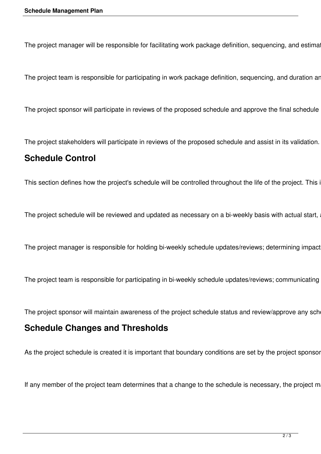The project manager will be responsible for facilitating work package definition, sequencing, and estima

The project team is responsible for participating in work package definition, sequencing, and duration are

The project sponsor will participate in reviews of the proposed schedule and approve the final schedule

The project stakeholders will participate in reviews of the proposed schedule and assist in its validation.

#### **Schedule Control**

This section defines how the project's schedule will be controlled throughout the life of the project. This i

The project schedule will be reviewed and updated as necessary on a bi-weekly basis with actual start,

The project manager is responsible for holding bi-weekly schedule updates/reviews; determining impact

The project team is responsible for participating in bi-weekly schedule updates/reviews; communicating

The project sponsor will maintain awareness of the project schedule status and review/approve any sche

#### **Schedule Changes and Thresholds**

As the project schedule is created it is important that boundary conditions are set by the project sponsor

If any member of the project team determines that a change to the schedule is necessary, the project m